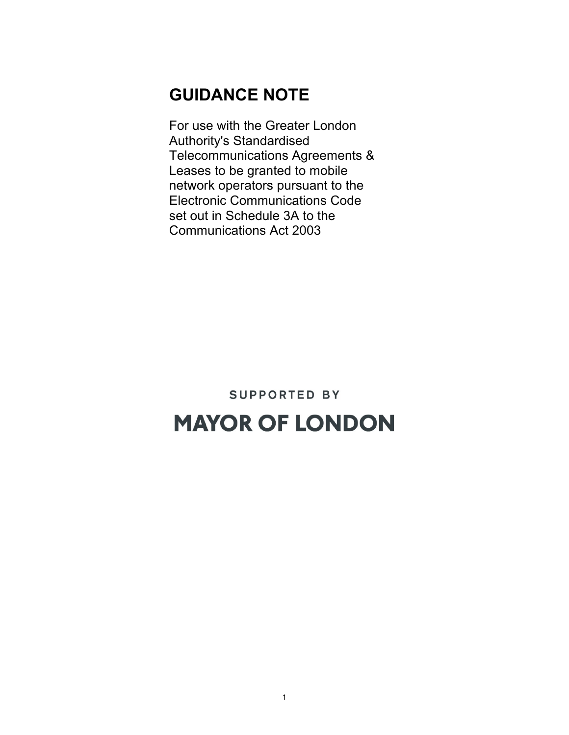#### **GUIDANCE NOTE**

For use with the Greater London Authority's Standardised Telecommunications Agreements & Leases to be granted to mobile network operators pursuant to the Electronic Communications Code set out in Schedule 3A to the Communications Act 2003

# **SUPPORTED BY MAYOR OF LONDON**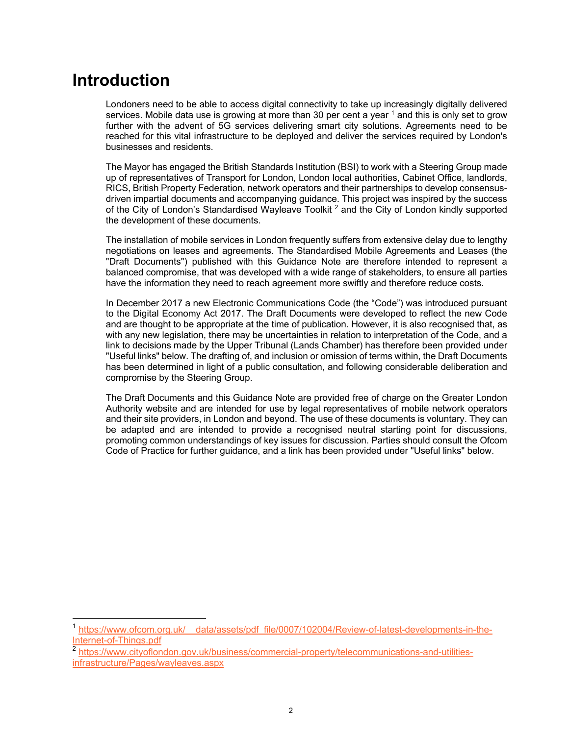#### **Introduction**

Londoners need to be able to access digital connectivity to take up increasingly digitally delivered services. Mobile data use is growing at more than 30 per cent a year  $1$  and this is only set to grow further with the advent of 5G services delivering smart city solutions. Agreements need to be reached for this vital infrastructure to be deployed and deliver the services required by London's businesses and residents.

The Mayor has engaged the British Standards Institution (BSI) to work with a Steering Group made up of representatives of Transport for London, London local authorities, Cabinet Office, landlords, RICS, British Property Federation, network operators and their partnerships to develop consensusdriven impartial documents and accompanying guidance. This project was inspired by the success of the City of London's Standardised Wayleave Toolkit<sup>2</sup> and the City of London kindly supported the development of these documents.

The installation of mobile services in London frequently suffers from extensive delay due to lengthy negotiations on leases and agreements. The Standardised Mobile Agreements and Leases (the "Draft Documents") published with this Guidance Note are therefore intended to represent a balanced compromise, that was developed with a wide range of stakeholders, to ensure all parties have the information they need to reach agreement more swiftly and therefore reduce costs.

In December 2017 a new Electronic Communications Code (the "Code") was introduced pursuant to the Digital Economy Act 2017. The Draft Documents were developed to reflect the new Code and are thought to be appropriate at the time of publication. However, it is also recognised that, as with any new legislation, there may be uncertainties in relation to interpretation of the Code, and a link to decisions made by the Upper Tribunal (Lands Chamber) has therefore been provided under "Useful links" below. The drafting of, and inclusion or omission of terms within, the Draft Documents has been determined in light of a public consultation, and following considerable deliberation and compromise by the Steering Group.

The Draft Documents and this Guidance Note are provided free of charge on the Greater London Authority website and are intended for use by legal representatives of mobile network operators and their site providers, in London and beyond. The use of these documents is voluntary. They can be adapted and are intended to provide a recognised neutral starting point for discussions, promoting common understandings of key issues for discussion. Parties should consult the Ofcom Code of Practice for further guidance, and a link has been provided under "Useful links" below.

<sup>&</sup>lt;sup>1</sup> https://www.ofcom.org.uk/ data/assets/pdf file/0007/102004/Review-of-latest-developments-in-the-Internet-of-Things.pdf

<sup>2&</sup>lt;br>https://www.cityoflondon.gov.uk/business/commercial-property/telecommunications-and-utilitiesinfrastructure/Pages/wayleaves.aspx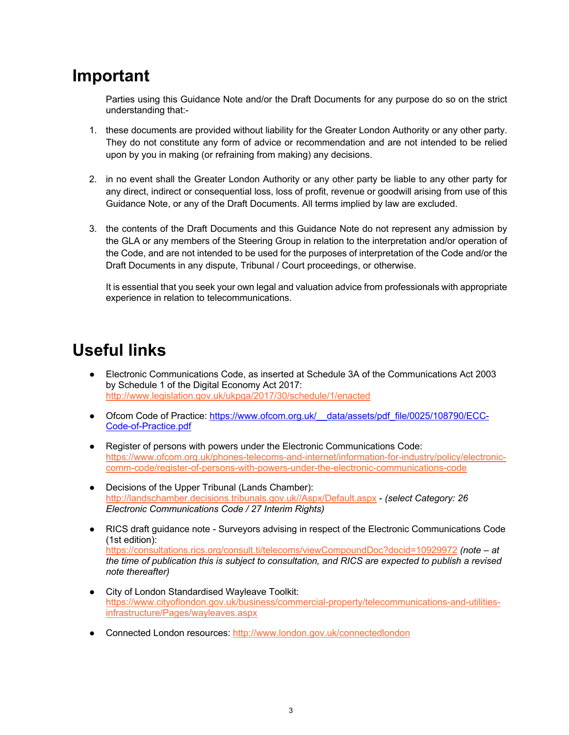#### **Important**

Parties using this Guidance Note and/or the Draft Documents for any purpose do so on the strict understanding that:-

- 1. these documents are provided without liability for the Greater London Authority or any other party. They do not constitute any form of advice or recommendation and are not intended to be relied upon by you in making (or refraining from making) any decisions.
- 2. in no event shall the Greater London Authority or any other party be liable to any other party for any direct, indirect or consequential loss, loss of profit, revenue or goodwill arising from use of this Guidance Note, or any of the Draft Documents. All terms implied by law are excluded.
- 3. the contents of the Draft Documents and this Guidance Note do not represent any admission by the GLA or any members of the Steering Group in relation to the interpretation and/or operation of the Code, and are not intended to be used for the purposes of interpretation of the Code and/or the Draft Documents in any dispute, Tribunal / Court proceedings, or otherwise.

It is essential that you seek your own legal and valuation advice from professionals with appropriate experience in relation to telecommunications.

### **Useful links**

- Electronic Communications Code, as inserted at Schedule 3A of the Communications Act 2003 by Schedule 1 of the Digital Economy Act 2017: http://www.legislation.gov.uk/ukpga/2017/30/schedule/1/enacted
- Ofcom Code of Practice: https://www.ofcom.org.uk/ data/assets/pdf\_file/0025/108790/ECC-Code-of-Practice.pdf
- Register of persons with powers under the Electronic Communications Code: https://www.ofcom.org.uk/phones-telecoms-and-internet/information-for-industry/policy/electroniccomm-code/register-of-persons-with-powers-under-the-electronic-communications-code
- Decisions of the Upper Tribunal (Lands Chamber): http://landschamber.decisions.tribunals.gov.uk//Aspx/Default.aspx - *(select Category: 26 Electronic Communications Code / 27 Interim Rights)*
- RICS draft guidance note Surveyors advising in respect of the Electronic Communications Code (1st edition): https://consultations.rics.org/consult.ti/telecoms/viewCompoundDoc?docid=10929972 *(note – at the time of publication this is subject to consultation, and RICS are expected to publish a revised note thereafter)*
- City of London Standardised Wayleave Toolkit: https://www.cityoflondon.gov.uk/business/commercial-property/telecommunications-and-utilitiesinfrastructure/Pages/wayleaves.aspx
- Connected London resources: http://www.london.gov.uk/connectedlondon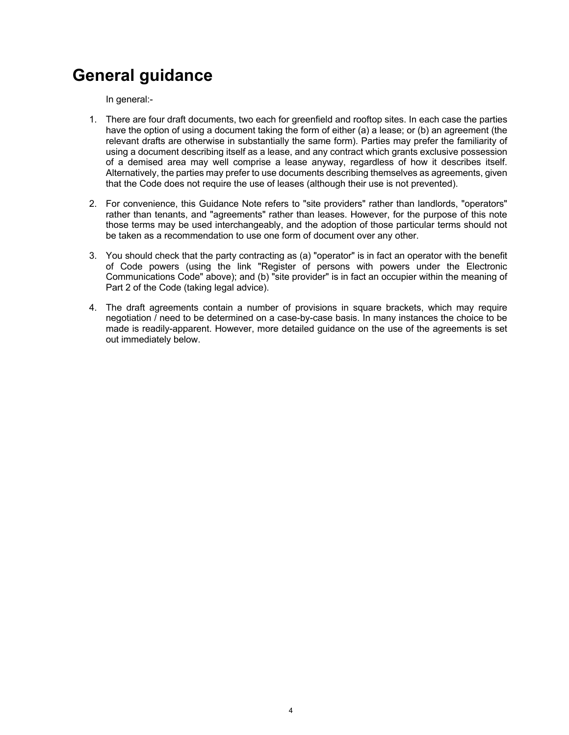## **General guidance**

In general:-

- 1. There are four draft documents, two each for greenfield and rooftop sites. In each case the parties have the option of using a document taking the form of either (a) a lease; or (b) an agreement (the relevant drafts are otherwise in substantially the same form). Parties may prefer the familiarity of using a document describing itself as a lease, and any contract which grants exclusive possession of a demised area may well comprise a lease anyway, regardless of how it describes itself. Alternatively, the parties may prefer to use documents describing themselves as agreements, given that the Code does not require the use of leases (although their use is not prevented).
- 2. For convenience, this Guidance Note refers to "site providers" rather than landlords, "operators" rather than tenants, and "agreements" rather than leases. However, for the purpose of this note those terms may be used interchangeably, and the adoption of those particular terms should not be taken as a recommendation to use one form of document over any other.
- 3. You should check that the party contracting as (a) "operator" is in fact an operator with the benefit of Code powers (using the link "Register of persons with powers under the Electronic Communications Code" above); and (b) "site provider" is in fact an occupier within the meaning of Part 2 of the Code (taking legal advice).
- 4. The draft agreements contain a number of provisions in square brackets, which may require negotiation / need to be determined on a case-by-case basis. In many instances the choice to be made is readily-apparent. However, more detailed guidance on the use of the agreements is set out immediately below.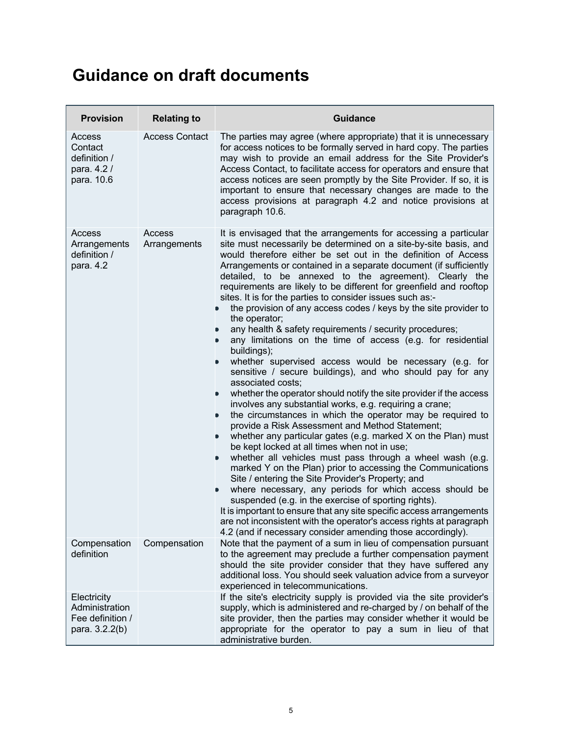## **Guidance on draft documents**

| <b>Provision</b>                                                    | <b>Relating to</b>     | <b>Guidance</b>                                                                                                                                                                                                                                                                                                                                                                                                                                                                                                                                                                                                                                                                                                                                                                                                                                                                                                                                                                                                                                                                                                                                                                                                                                                                                                                                                                                                                                                                                                                                                                                                                                                                                                                                                                                           |
|---------------------------------------------------------------------|------------------------|-----------------------------------------------------------------------------------------------------------------------------------------------------------------------------------------------------------------------------------------------------------------------------------------------------------------------------------------------------------------------------------------------------------------------------------------------------------------------------------------------------------------------------------------------------------------------------------------------------------------------------------------------------------------------------------------------------------------------------------------------------------------------------------------------------------------------------------------------------------------------------------------------------------------------------------------------------------------------------------------------------------------------------------------------------------------------------------------------------------------------------------------------------------------------------------------------------------------------------------------------------------------------------------------------------------------------------------------------------------------------------------------------------------------------------------------------------------------------------------------------------------------------------------------------------------------------------------------------------------------------------------------------------------------------------------------------------------------------------------------------------------------------------------------------------------|
| Access<br>Contact<br>definition /<br>para. 4.2 /<br>para. 10.6      | <b>Access Contact</b>  | The parties may agree (where appropriate) that it is unnecessary<br>for access notices to be formally served in hard copy. The parties<br>may wish to provide an email address for the Site Provider's<br>Access Contact, to facilitate access for operators and ensure that<br>access notices are seen promptly by the Site Provider. If so, it is<br>important to ensure that necessary changes are made to the<br>access provisions at paragraph 4.2 and notice provisions at<br>paragraph 10.6.                                                                                                                                                                                                                                                                                                                                                                                                                                                                                                                                                                                                                                                                                                                                                                                                                                                                                                                                                                                                                                                                                                                                                                                                                                                                                                       |
| Access<br>Arrangements<br>definition /<br>para. 4.2                 | Access<br>Arrangements | It is envisaged that the arrangements for accessing a particular<br>site must necessarily be determined on a site-by-site basis, and<br>would therefore either be set out in the definition of Access<br>Arrangements or contained in a separate document (if sufficiently<br>detailed, to be annexed to the agreement). Clearly the<br>requirements are likely to be different for greenfield and rooftop<br>sites. It is for the parties to consider issues such as:-<br>the provision of any access codes / keys by the site provider to<br>D<br>the operator;<br>any health & safety requirements / security procedures;<br>$\bullet$<br>any limitations on the time of access (e.g. for residential<br>D<br>buildings);<br>whether supervised access would be necessary (e.g. for<br>D<br>sensitive / secure buildings), and who should pay for any<br>associated costs;<br>whether the operator should notify the site provider if the access<br>involves any substantial works, e.g. requiring a crane;<br>the circumstances in which the operator may be required to<br>$\bullet$<br>provide a Risk Assessment and Method Statement;<br>whether any particular gates (e.g. marked X on the Plan) must<br>$\bullet$<br>be kept locked at all times when not in use;<br>whether all vehicles must pass through a wheel wash (e.g.<br>$\bullet$<br>marked Y on the Plan) prior to accessing the Communications<br>Site / entering the Site Provider's Property; and<br>where necessary, any periods for which access should be<br>suspended (e.g. in the exercise of sporting rights).<br>It is important to ensure that any site specific access arrangements<br>are not inconsistent with the operator's access rights at paragraph<br>4.2 (and if necessary consider amending those accordingly). |
| Compensation<br>definition                                          | Compensation           | Note that the payment of a sum in lieu of compensation pursuant<br>to the agreement may preclude a further compensation payment<br>should the site provider consider that they have suffered any<br>additional loss. You should seek valuation advice from a surveyor<br>experienced in telecommunications.                                                                                                                                                                                                                                                                                                                                                                                                                                                                                                                                                                                                                                                                                                                                                                                                                                                                                                                                                                                                                                                                                                                                                                                                                                                                                                                                                                                                                                                                                               |
| Electricity<br>Administration<br>Fee definition /<br>para. 3.2.2(b) |                        | If the site's electricity supply is provided via the site provider's<br>supply, which is administered and re-charged by / on behalf of the<br>site provider, then the parties may consider whether it would be<br>appropriate for the operator to pay a sum in lieu of that<br>administrative burden.                                                                                                                                                                                                                                                                                                                                                                                                                                                                                                                                                                                                                                                                                                                                                                                                                                                                                                                                                                                                                                                                                                                                                                                                                                                                                                                                                                                                                                                                                                     |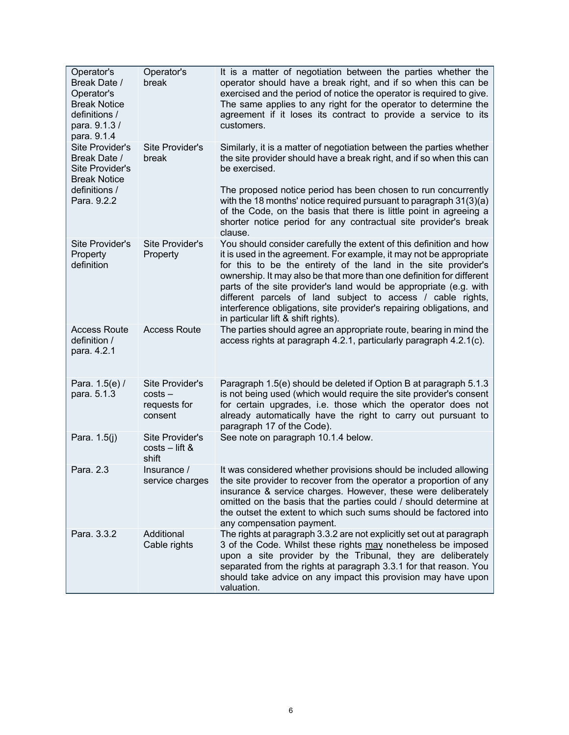| Operator's<br>Break Date /<br>Operator's<br><b>Break Notice</b><br>definitions /<br>para. 9.1.3/<br>para. 9.1.4 | Operator's<br>break                                     | It is a matter of negotiation between the parties whether the<br>operator should have a break right, and if so when this can be<br>exercised and the period of notice the operator is required to give.<br>The same applies to any right for the operator to determine the<br>agreement if it loses its contract to provide a service to its<br>customers.                                                                                                                                                                               |
|-----------------------------------------------------------------------------------------------------------------|---------------------------------------------------------|------------------------------------------------------------------------------------------------------------------------------------------------------------------------------------------------------------------------------------------------------------------------------------------------------------------------------------------------------------------------------------------------------------------------------------------------------------------------------------------------------------------------------------------|
| <b>Site Provider's</b><br>Break Date /<br>Site Provider's<br><b>Break Notice</b>                                | <b>Site Provider's</b><br>break                         | Similarly, it is a matter of negotiation between the parties whether<br>the site provider should have a break right, and if so when this can<br>be exercised.                                                                                                                                                                                                                                                                                                                                                                            |
| definitions /<br>Para. 9.2.2                                                                                    |                                                         | The proposed notice period has been chosen to run concurrently<br>with the 18 months' notice required pursuant to paragraph 31(3)(a)<br>of the Code, on the basis that there is little point in agreeing a<br>shorter notice period for any contractual site provider's break<br>clause.                                                                                                                                                                                                                                                 |
| Site Provider's<br>Property<br>definition                                                                       | Site Provider's<br>Property                             | You should consider carefully the extent of this definition and how<br>it is used in the agreement. For example, it may not be appropriate<br>for this to be the entirety of the land in the site provider's<br>ownership. It may also be that more than one definition for different<br>parts of the site provider's land would be appropriate (e.g. with<br>different parcels of land subject to access / cable rights,<br>interference obligations, site provider's repairing obligations, and<br>in particular lift & shift rights). |
| <b>Access Route</b><br>definition /<br>para. 4.2.1                                                              | <b>Access Route</b>                                     | The parties should agree an appropriate route, bearing in mind the<br>access rights at paragraph 4.2.1, particularly paragraph 4.2.1(c).                                                                                                                                                                                                                                                                                                                                                                                                 |
| Para. 1.5(e) /<br>para. 5.1.3                                                                                   | Site Provider's<br>$costs -$<br>requests for<br>consent | Paragraph 1.5(e) should be deleted if Option B at paragraph 5.1.3<br>is not being used (which would require the site provider's consent<br>for certain upgrades, i.e. those which the operator does not<br>already automatically have the right to carry out pursuant to<br>paragraph 17 of the Code).                                                                                                                                                                                                                                   |
| Para. 1.5(j)                                                                                                    | Site Provider's<br>$costs - lift &$<br>shift            | See note on paragraph 10.1.4 below.                                                                                                                                                                                                                                                                                                                                                                                                                                                                                                      |
| Para. 2.3                                                                                                       | Insurance /<br>service charges                          | It was considered whether provisions should be included allowing<br>the site provider to recover from the operator a proportion of any<br>insurance & service charges. However, these were deliberately<br>omitted on the basis that the parties could / should determine at<br>the outset the extent to which such sums should be factored into<br>any compensation payment.                                                                                                                                                            |
| Para. 3.3.2                                                                                                     | Additional<br>Cable rights                              | The rights at paragraph 3.3.2 are not explicitly set out at paragraph<br>3 of the Code. Whilst these rights may nonetheless be imposed<br>upon a site provider by the Tribunal, they are deliberately<br>separated from the rights at paragraph 3.3.1 for that reason. You<br>should take advice on any impact this provision may have upon<br>valuation.                                                                                                                                                                                |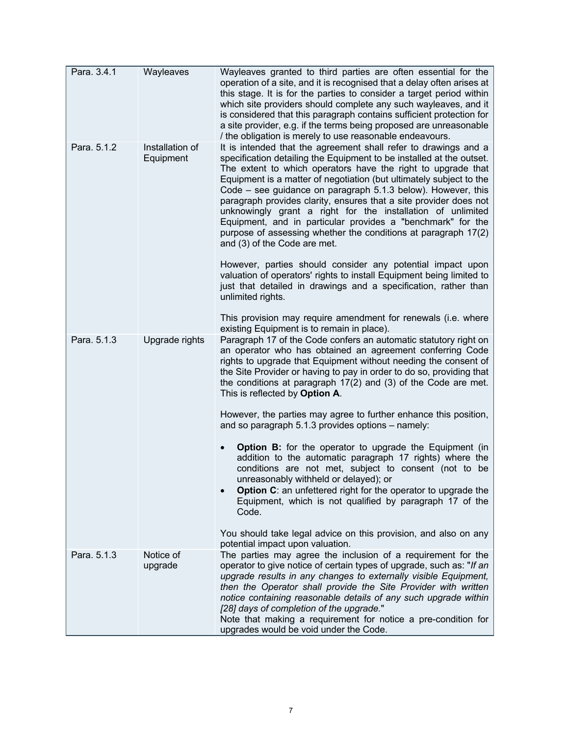| Para. 3.4.1 | Wayleaves                    | Wayleaves granted to third parties are often essential for the<br>operation of a site, and it is recognised that a delay often arises at<br>this stage. It is for the parties to consider a target period within<br>which site providers should complete any such wayleaves, and it<br>is considered that this paragraph contains sufficient protection for<br>a site provider, e.g. if the terms being proposed are unreasonable<br>/ the obligation is merely to use reasonable endeavours.                                                                                                                                                       |
|-------------|------------------------------|-----------------------------------------------------------------------------------------------------------------------------------------------------------------------------------------------------------------------------------------------------------------------------------------------------------------------------------------------------------------------------------------------------------------------------------------------------------------------------------------------------------------------------------------------------------------------------------------------------------------------------------------------------|
| Para. 5.1.2 | Installation of<br>Equipment | It is intended that the agreement shall refer to drawings and a<br>specification detailing the Equipment to be installed at the outset.<br>The extent to which operators have the right to upgrade that<br>Equipment is a matter of negotiation (but ultimately subject to the<br>Code – see guidance on paragraph 5.1.3 below). However, this<br>paragraph provides clarity, ensures that a site provider does not<br>unknowingly grant a right for the installation of unlimited<br>Equipment, and in particular provides a "benchmark" for the<br>purpose of assessing whether the conditions at paragraph 17(2)<br>and (3) of the Code are met. |
|             |                              | However, parties should consider any potential impact upon<br>valuation of operators' rights to install Equipment being limited to<br>just that detailed in drawings and a specification, rather than<br>unlimited rights.                                                                                                                                                                                                                                                                                                                                                                                                                          |
|             |                              | This provision may require amendment for renewals (i.e. where                                                                                                                                                                                                                                                                                                                                                                                                                                                                                                                                                                                       |
| Para. 5.1.3 | Upgrade rights               | existing Equipment is to remain in place).<br>Paragraph 17 of the Code confers an automatic statutory right on<br>an operator who has obtained an agreement conferring Code<br>rights to upgrade that Equipment without needing the consent of<br>the Site Provider or having to pay in order to do so, providing that<br>the conditions at paragraph $17(2)$ and $(3)$ of the Code are met.<br>This is reflected by Option A.                                                                                                                                                                                                                      |
|             |                              | However, the parties may agree to further enhance this position,<br>and so paragraph 5.1.3 provides options – namely:                                                                                                                                                                                                                                                                                                                                                                                                                                                                                                                               |
|             |                              | <b>Option B:</b> for the operator to upgrade the Equipment (in<br>$\bullet$<br>addition to the automatic paragraph 17 rights) where the<br>conditions are not met, subject to consent (not to be<br>unreasonably withheld or delayed); or<br>Option C: an unfettered right for the operator to upgrade the<br>Equipment, which is not qualified by paragraph 17 of the<br>Code.                                                                                                                                                                                                                                                                     |
|             |                              | You should take legal advice on this provision, and also on any<br>potential impact upon valuation.                                                                                                                                                                                                                                                                                                                                                                                                                                                                                                                                                 |
| Para. 5.1.3 | Notice of<br>upgrade         | The parties may agree the inclusion of a requirement for the<br>operator to give notice of certain types of upgrade, such as: "If an<br>upgrade results in any changes to externally visible Equipment,<br>then the Operator shall provide the Site Provider with written<br>notice containing reasonable details of any such upgrade within<br>[28] days of completion of the upgrade."<br>Note that making a requirement for notice a pre-condition for<br>upgrades would be void under the Code.                                                                                                                                                 |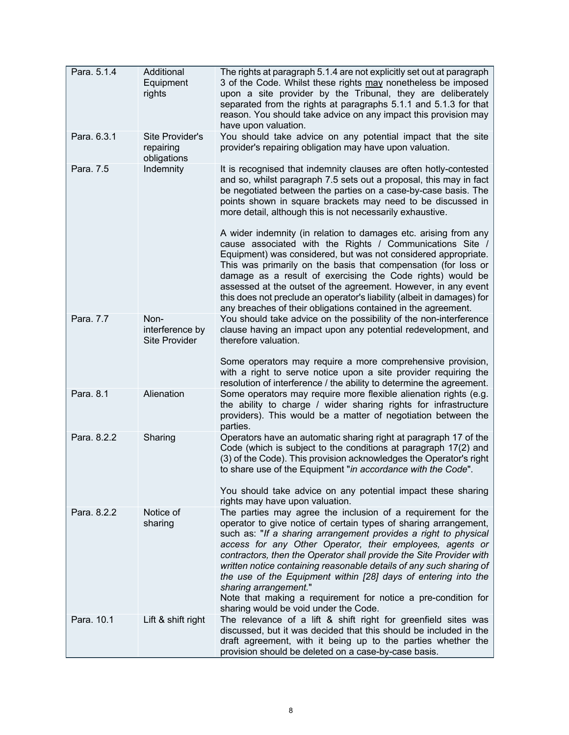| Para. 5.1.4 | Additional<br>Equipment<br>rights               | The rights at paragraph 5.1.4 are not explicitly set out at paragraph<br>3 of the Code. Whilst these rights may nonetheless be imposed<br>upon a site provider by the Tribunal, they are deliberately<br>separated from the rights at paragraphs 5.1.1 and 5.1.3 for that<br>reason. You should take advice on any impact this provision may<br>have upon valuation.                                                                                                                                                                                                                                                |
|-------------|-------------------------------------------------|---------------------------------------------------------------------------------------------------------------------------------------------------------------------------------------------------------------------------------------------------------------------------------------------------------------------------------------------------------------------------------------------------------------------------------------------------------------------------------------------------------------------------------------------------------------------------------------------------------------------|
| Para. 6.3.1 | Site Provider's<br>repairing<br>obligations     | You should take advice on any potential impact that the site<br>provider's repairing obligation may have upon valuation.                                                                                                                                                                                                                                                                                                                                                                                                                                                                                            |
| Para. 7.5   | Indemnity                                       | It is recognised that indemnity clauses are often hotly-contested<br>and so, whilst paragraph 7.5 sets out a proposal, this may in fact<br>be negotiated between the parties on a case-by-case basis. The<br>points shown in square brackets may need to be discussed in<br>more detail, although this is not necessarily exhaustive.                                                                                                                                                                                                                                                                               |
|             |                                                 | A wider indemnity (in relation to damages etc. arising from any<br>cause associated with the Rights / Communications Site /<br>Equipment) was considered, but was not considered appropriate.<br>This was primarily on the basis that compensation (for loss or<br>damage as a result of exercising the Code rights) would be<br>assessed at the outset of the agreement. However, in any event<br>this does not preclude an operator's liability (albeit in damages) for<br>any breaches of their obligations contained in the agreement.                                                                          |
| Para. 7.7   | Non-<br>interference by<br><b>Site Provider</b> | You should take advice on the possibility of the non-interference<br>clause having an impact upon any potential redevelopment, and<br>therefore valuation.                                                                                                                                                                                                                                                                                                                                                                                                                                                          |
|             |                                                 | Some operators may require a more comprehensive provision,<br>with a right to serve notice upon a site provider requiring the<br>resolution of interference / the ability to determine the agreement.                                                                                                                                                                                                                                                                                                                                                                                                               |
| Para. 8.1   | Alienation                                      | Some operators may require more flexible alienation rights (e.g.<br>the ability to charge / wider sharing rights for infrastructure<br>providers). This would be a matter of negotiation between the<br>parties.                                                                                                                                                                                                                                                                                                                                                                                                    |
| Para. 8.2.2 | Sharing                                         | Operators have an automatic sharing right at paragraph 17 of the<br>Code (which is subject to the conditions at paragraph 17(2) and<br>(3) of the Code). This provision acknowledges the Operator's right<br>to share use of the Equipment "in accordance with the Code".                                                                                                                                                                                                                                                                                                                                           |
|             |                                                 | You should take advice on any potential impact these sharing<br>rights may have upon valuation.                                                                                                                                                                                                                                                                                                                                                                                                                                                                                                                     |
| Para. 8.2.2 | Notice of<br>sharing                            | The parties may agree the inclusion of a requirement for the<br>operator to give notice of certain types of sharing arrangement,<br>such as: "If a sharing arrangement provides a right to physical<br>access for any Other Operator, their employees, agents or<br>contractors, then the Operator shall provide the Site Provider with<br>written notice containing reasonable details of any such sharing of<br>the use of the Equipment within [28] days of entering into the<br>sharing arrangement."<br>Note that making a requirement for notice a pre-condition for<br>sharing would be void under the Code. |
| Para. 10.1  | Lift & shift right                              | The relevance of a lift & shift right for greenfield sites was<br>discussed, but it was decided that this should be included in the<br>draft agreement, with it being up to the parties whether the<br>provision should be deleted on a case-by-case basis.                                                                                                                                                                                                                                                                                                                                                         |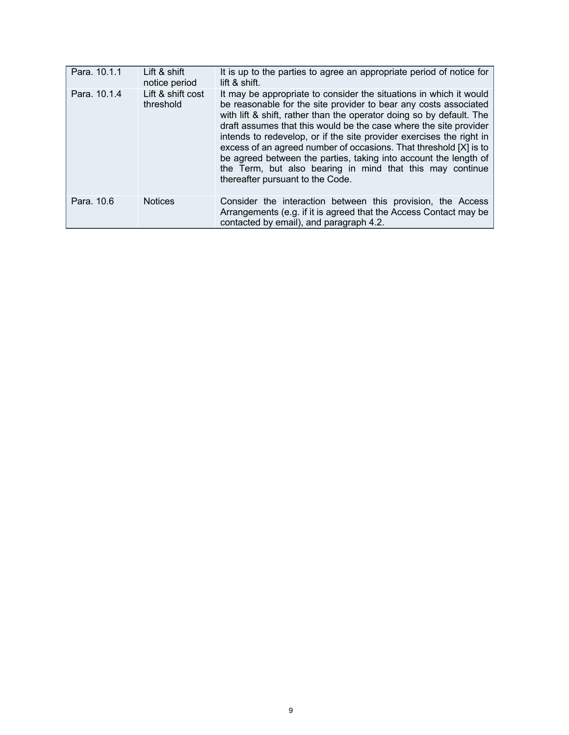| Para. 10.1.1 | Lift & shift<br>notice period  | It is up to the parties to agree an appropriate period of notice for<br>lift & shift.                                                                                                                                                                                                                                                                                                                                                                                                                                                                                                                 |
|--------------|--------------------------------|-------------------------------------------------------------------------------------------------------------------------------------------------------------------------------------------------------------------------------------------------------------------------------------------------------------------------------------------------------------------------------------------------------------------------------------------------------------------------------------------------------------------------------------------------------------------------------------------------------|
| Para, 10.1.4 | Lift & shift cost<br>threshold | It may be appropriate to consider the situations in which it would<br>be reasonable for the site provider to bear any costs associated<br>with lift & shift, rather than the operator doing so by default. The<br>draft assumes that this would be the case where the site provider<br>intends to redevelop, or if the site provider exercises the right in<br>excess of an agreed number of occasions. That threshold [X] is to<br>be agreed between the parties, taking into account the length of<br>the Term, but also bearing in mind that this may continue<br>thereafter pursuant to the Code. |
| Para, 10.6   | <b>Notices</b>                 | Consider the interaction between this provision, the Access<br>Arrangements (e.g. if it is agreed that the Access Contact may be<br>contacted by email), and paragraph 4.2.                                                                                                                                                                                                                                                                                                                                                                                                                           |